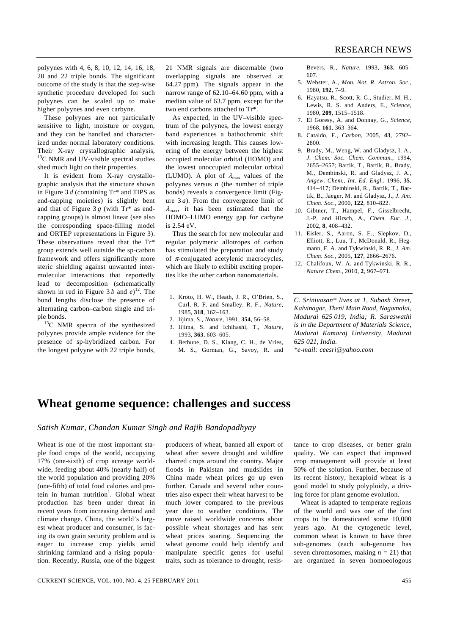polyynes with 4, 6, 8, 10, 12, 14, 16, 18, 20 and 22 triple bonds. The significant outcome of the study is that the step-wise synthetic procedure developed for such polyynes can be scaled up to make higher polyynes and even carbyne.

 These polyynes are not particularly sensitive to light, moisture or oxygen, and they can be handled and characterized under normal laboratory conditions. Their X-ray crystallographic analysis,  $13^{\circ}$ C NMR and UV-visible spectral studies shed much light on their properties.

 It is evident from X-ray crystallographic analysis that the structure shown in Figure 3 *d* (containing Tr\* and TIPS as end-capping moieties) is slightly bent and that of Figure  $3g$  (with  $Tr^*$  as endcapping groups) is almost linear (see also the corresponding space-filling model and ORTEP representations in Figure 3). These observations reveal that the Tr\* group extends well outside the sp-carbon framework and offers significantly more steric shielding against unwanted intermolecular interactions that reportedly lead to decomposition (schematically shown in red in Figure  $3 b$  and  $e^{12}$ . The bond lengths disclose the presence of alternating carbon–carbon single and triple bonds.<br> $^{13}$ C NMR spectra of the synthesized

polyynes provide ample evidence for the presence of sp-hybridized carbon. For the longest polyyne with 22 triple bonds, 21 NMR signals are discernable (two overlapping signals are observed at 64.27 ppm). The signals appear in the narrow range of 62.10–64.60 ppm, with a median value of 63.7 ppm, except for the two end carbons attached to Tr\*.

 As expected, in the UV–visible spectrum of the polyynes, the lowest energy band experiences a bathochromic shift with increasing length. This causes lowering of the energy between the highest occupied molecular orbital (HOMO) and the lowest unoccupied molecular orbital (LUMO). A plot of  $\lambda_{\text{max}}$  values of the polyynes versus *n* (the number of triple bonds) reveals a convergence limit (Figure 3 *a*). From the convergence limit of  $\lambda_{\text{max}}$ , it has been estimated that the HOMO–LUMO energy gap for carbyne is 2.54 eV.

 Thus the search for new molecular and regular polymeric allotropes of carbon has stimulated the preparation and study of  $\pi$ -conjugated acetylenic macrocycles, which are likely to exhibit exciting properties like the other carbon nanomaterials.

- 1. Kroto, H. W., Heath, J. R., O'Brien, S., Curl, R. F. and Smalley, R. F., *Nature*, 1985, **318**, 162–163.
- 2. Iijima, S., *Nature*, 1991, **354**, 56–58.
- 3. Iijima, S. and Ichihashi, T., *Nature*, 1993, **363**, 603–605.
- 4. Bethune, D. S., Kiang, C. H., de Vries, M. S., Gorman, G., Savoy, R. and

Bevers, R., *Nature*, 1993, **363**, 605– 607.

- 5. Webster, A., *Mon. Not. R. Astron. Soc.*, 1980, **192**, 7–9.
- 6. Hayatsu, R., Scott, R. G., Studier, M. H., Lewis, R. S. and Anders, E., *Science*, 1980, **209**, 1515–1518.
- 7. El Goresy, A. and Donnay, G., *Science*, 1968, **161**, 363–364.
- 8. Cataldo, F., *Carbon*, 2005, **43**, 2792– 2800.
- 9. Brady, M., Weng, W. and Gladysz, I. A., *J. Chem. Soc. Chem. Commun.*, 1994, 2655–2657; Bartik, T., Bartik, B., Brady, M., Dembinski, R. and Gladysz, J. A., *Angew. Chem., Int. Ed. Engl.*, 1996, **35**, 414–417; Dembinski, R., Bartik, T., Bartik, B., Jaeger, M. and Gladysz, J., *J. Am. Chem. Soc.*, 2000, **122**, 810–822.
- 10. Gibtner, T., Hampel, F., Gisselbrecht, J.-P. and Hirsch, A., *Chem. Eur. J.*, 2002, **8**, 408–432.
- 11. Eisler, S., Aaron, S. E., Slepkov, D., Elliott, E., Luu, T., McDonald, R., Hegmann, F. A. and Tykwinski, R. R., *J. Am. Chem. Soc.*, 2005, **127**, 2666–2676.
- 12. Chalifoux, W. A. and Tykwinski, R. R., *Nature Chem*., 2010, **2**, 967–971.

*C. Srinivasan\* lives at 1, Subash Street, Kalvinagar, Theni Main Road, Nagamalai, Madurai 625 019, India; R. Saraswathi is in the Department of Materials Science, Madurai Kamaraj University, Madurai 625 021, India.* 

*\*e-mail: ceesri@yahoo.com* 

## **Wheat genome sequence: challenges and success**

## *Satish Kumar, Chandan Kumar Singh and Rajib Bandopadhyay*

Wheat is one of the most important staple food crops of the world, occupying 17% (one-sixth) of crop acreage worldwide, feeding about 40% (nearly half) of the world population and providing 20% (one-fifth) of total food calories and protein in human nutrition<sup>1</sup>. Global wheat production has been under threat in recent years from increasing demand and climate change. China, the world's largest wheat producer and consumer, is facing its own grain security problem and is eager to increase crop yields amid shrinking farmland and a rising population. Recently, Russia, one of the biggest

producers of wheat, banned all export of wheat after severe drought and wildfire charred crops around the country. Major floods in Pakistan and mudslides in China made wheat prices go up even further. Canada and several other countries also expect their wheat harvest to be much lower compared to the previous year due to weather conditions. The move raised worldwide concerns about possible wheat shortages and has sent wheat prices soaring. Sequencing the wheat genome could help identify and manipulate specific genes for useful traits, such as tolerance to drought, resistance to crop diseases, or better grain quality. We can expect that improved crop management will provide at least 50% of the solution. Further, because of its recent history, hexaploid wheat is a good model to study polyploidy, a driving force for plant genome evolution.

 Wheat is adapted to temperate regions of the world and was one of the first crops to be domesticated some 10,000 years ago. At the cytogenetic level, common wheat is known to have three sub-genomes (each sub-genome has seven chromosomes, making  $n = 21$ ) that are organized in seven homoeologous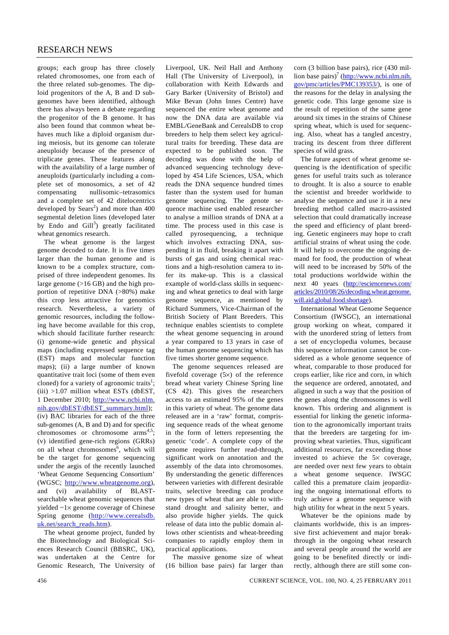groups; each group has three closely related chromosomes, one from each of the three related sub-genomes. The diploid progenitors of the A, B and D subgenomes have been identified, although there has always been a debate regarding the progenitor of the B genome. It has also been found that common wheat behaves much like a diploid organism during meiosis, but its genome can tolerate aneuploidy because of the presence of triplicate genes. These features along with the availability of a large number of aneuploids (particularly including a complete set of monosomics, a set of 42 compensating nullisomic–tetrasomics and a complete set of 42 ditelocentrics developed by  $Sears<sup>2</sup>$  and more than 400 segmental deletion lines (developed later by Endo and  $\text{Gill}^3$ ) greatly facilitated wheat genomics research.

 The wheat genome is the largest genome decoded to date. It is five times larger than the human genome and is known to be a complex structure, comprised of three independent genomes. Its large genome (>16 GB) and the high proportion of repetitive DNA (>80%) make this crop less attractive for genomics research. Nevertheless, a variety of genomic resources, including the following have become available for this crop, which should facilitate further research: (i) genome-wide genetic and physical maps (including expressed sequence tag (EST) maps and molecular function maps); (ii) a large number of known quantitative trait loci (some of them even cloned) for a variety of agronomic traits<sup>1</sup>;  $(iii)$  >1.07 million wheat ESTs (dbEST, 1 December 2010; http://www.ncbi.nlm. nih.gov/dbEST/dbEST\_summary.html); (iv) BAC libraries for each of the three sub-genomes (A, B and D) and for specific chromosomes or chromosome  $arms<sup>4,5</sup>$ ; (v) identified gene-rich regions (GRRs) on all wheat chromosomes<sup>6</sup>, which will be the target for genome sequencing under the aegis of the recently launched 'Wheat Genome Sequencing Consortium' (WGSC; http://www.wheatgenome.org), and (vi) availability of BLASTsearchable wheat genomic sequences that yielded ~1× genome coverage of Chinese Spring genome (http://www.cerealsdb. uk.net/search\_reads.htm).

 The wheat genome project, funded by the Biotechnology and Biological Sciences Research Council (BBSRC, UK), was undertaken at the Centre for Genomic Research, The University of Liverpool, UK. Neil Hall and Anthony Hall (The University of Liverpool), in collaboration with Keith Edwards and Gary Barker (University of Bristol) and Mike Bevan (John Innes Centre) have sequenced the entire wheat genome and now the DNA data are available via EMBL/GeneBank and CerealsDB to crop breeders to help them select key agricultural traits for breeding. These data are expected to be published soon. The decoding was done with the help of advanced sequencing technology developed by 454 Life Sciences, USA, which reads the DNA sequence hundred times faster than the system used for human genome sequencing. The genote sequence machine used enabled researcher to analyse a million strands of DNA at a time. The process used in this case is called pyrosequencing, a technique which involves extracting DNA, suspending it in fluid, breaking it apart with bursts of gas and using chemical reactions and a high-resolution camera to infer its make-up. This is a classical example of world-class skills in sequencing and wheat genetics to deal with large genome sequence, as mentioned by Richard Summers, Vice-Chairman of the British Society of Plant Breeders. This technique enables scientists to complete the wheat genome sequencing in around a year compared to 13 years in case of the human genome sequencing which has five times shorter genome sequence.

 The genome sequences released are fivefold coverage (5×) of the reference bread wheat variety Chinese Spring line (CS 42). This gives the researchers access to an estimated 95% of the genes in this variety of wheat. The genome data released are in a 'raw' format, comprising sequence reads of the wheat genome in the form of letters representing the genetic 'code'. A complete copy of the genome requires further read-through, significant work on annotation and the assembly of the data into chromosomes. By understanding the genetic differences between varieties with different desirable traits, selective breeding can produce new types of wheat that are able to withstand drought and salinity better, and also provide higher yields. The quick release of data into the public domain allows other scientists and wheat-breeding companies to rapidly employ them in practical applications.

 The massive genome size of wheat (16 billion base pairs) far larger than corn (3 billion base pairs), rice (430 million base pairs)<sup>7</sup> (http://www.ncbi.nlm.nih. gov/pmc/articles/PMC139353/), is one of the reasons for the delay in analysing the genetic code. This large genome size is the result of repetition of the same gene around six times in the strains of Chinese spring wheat, which is used for sequencing. Also, wheat has a tangled ancestry, tracing its descent from three different species of wild grass.

 The future aspect of wheat genome sequencing is the identification of specific genes for useful traits such as tolerance to drought. It is also a source to enable the scientist and breeder worldwide to analyse the sequence and use it in a new breeding method called macro-assisted selection that could dramatically increase the speed and efficiency of plant breeding. Genetic engineers may hope to craft artificial strains of wheat using the code. It will help to overcome the ongoing demand for food, the production of wheat will need to be increased by 50% of the total productions worldwide within the next 40 years (http://esciencenews.com/ articles/2010/08/26/decoding.wheat.genome. will.aid.global.food.shortage).

 International Wheat Genome Sequence Consortium (IWSGC), an international group working on wheat, compared it with the unordered string of letters from a set of encyclopedia volumes, because this sequence information cannot be considered as a whole genome sequence of wheat, comparable to those produced for crops earlier, like rice and corn, in which the sequence are ordered, annotated, and aligned in such a way that the position of the genes along the chromosomes is well known. This ordering and alignment is essential for linking the genetic information to the agronomically important traits that the breeders are targeting for improving wheat varieties. Thus, significant additional resources, far exceeding those invested to achieve the 5× coverage, are needed over next few years to obtain a wheat genome sequence. IWSGC called this a premature claim jeopardizing the ongoing international efforts to truly achieve a genome sequence with high utility for wheat in the next 5 years.

 Whatever be the opinions made by claimants worldwide, this is an impressive first achievement and major breakthrough in the ongoing wheat research and several people around the world are going to be benefited directly or indirectly, although there are still some con